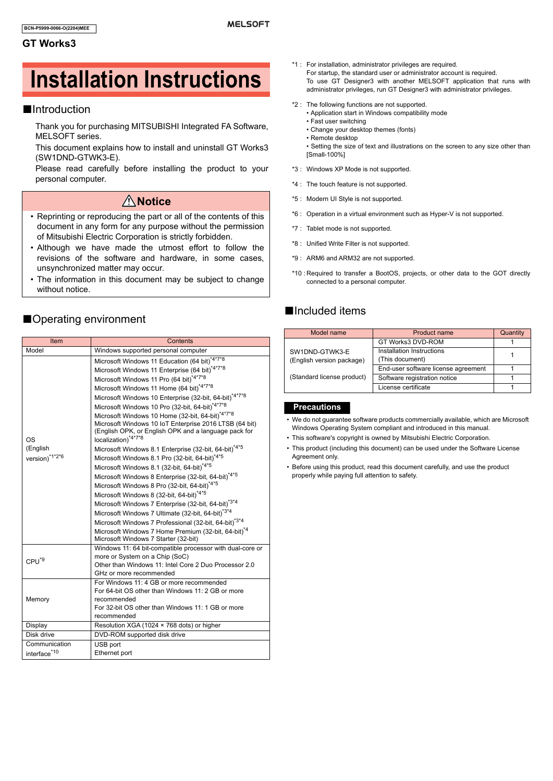#### **GT Works3**

# **Installation Instructions**

### ■Introduction

Thank you for purchasing MITSUBISHI Integrated FA Software, MELSOFT series.

This document explains how to install and uninstall GT Works3 (SW1DND-GTWK3-E).

Please read carefully before installing the product to your personal computer.

#### **Notice**

- Reprinting or reproducing the part or all of the contents of this document in any form for any purpose without the permission of Mitsubishi Electric Corporation is strictly forbidden.
- Although we have made the utmost effort to follow the revisions of the software and hardware, in some cases, unsynchronized matter may occur.
- The information in this document may be subject to change without notice.

#### ■Operating environment

| Item                             | Contents                                                                                                                                                                                                                                                                                                                                                                                                                                                                                                                                                                                                                                                                                                                                                                                                                                                                                                                                                                                                     |  |  |
|----------------------------------|--------------------------------------------------------------------------------------------------------------------------------------------------------------------------------------------------------------------------------------------------------------------------------------------------------------------------------------------------------------------------------------------------------------------------------------------------------------------------------------------------------------------------------------------------------------------------------------------------------------------------------------------------------------------------------------------------------------------------------------------------------------------------------------------------------------------------------------------------------------------------------------------------------------------------------------------------------------------------------------------------------------|--|--|
| Model                            | Windows supported personal computer                                                                                                                                                                                                                                                                                                                                                                                                                                                                                                                                                                                                                                                                                                                                                                                                                                                                                                                                                                          |  |  |
| OS<br>(English<br>version)*1*2*6 | Microsoft Windows 11 Education (64 bit) <sup>*4*7*8</sup><br>Microsoft Windows 11 Enterprise (64 bit) <sup>*4*7*8</sup><br>Microsoft Windows 11 Pro (64 bit)*4*7*8<br>Microsoft Windows 11 Home (64 bit)*4*7*8<br>Microsoft Windows 10 Enterprise (32-bit, 64-bit) <sup>*4*7*8</sup><br>Microsoft Windows 10 Pro (32-bit, 64-bit)*4*7*8<br>Microsoft Windows 10 Home (32-bit, 64-bit)*4*7*8<br>Microsoft Windows 10 IoT Enterprise 2016 LTSB (64 bit)<br>(English OPK, or English OPK and a language pack for<br>localization) <sup>*4*7*8</sup><br>Microsoft Windows 8.1 Enterprise (32-bit, 64-bit)*4*5<br>Microsoft Windows 8.1 Pro (32-bit, 64-bit)*4*5<br>Microsoft Windows 8.1 (32-bit, 64-bit) <sup>*4*5</sup><br>Microsoft Windows 8 Enterprise (32-bit, 64-bit)*4*5<br>Microsoft Windows 8 Pro (32-bit, 64-bit) <sup>*4*5</sup><br>Microsoft Windows 8 (32-bit, 64-bit) <sup>*4*5</sup><br>Microsoft Windows 7 Enterprise (32-bit, 64-bit)*3*4<br>Microsoft Windows 7 Ultimate (32-bit, 64-bit)*3*4 |  |  |
|                                  | Microsoft Windows 7 Professional (32-bit, 64-bit)*3*4<br>Microsoft Windows 7 Home Premium (32-bit, 64-bit) <sup>*4</sup><br>Microsoft Windows 7 Starter (32-bit)                                                                                                                                                                                                                                                                                                                                                                                                                                                                                                                                                                                                                                                                                                                                                                                                                                             |  |  |
| CPU <sup>*9</sup>                | Windows 11: 64 bit-compatible processor with dual-core or<br>more or System on a Chip (SoC)<br>Other than Windows 11: Intel Core 2 Duo Processor 2.0<br>GHz or more recommended                                                                                                                                                                                                                                                                                                                                                                                                                                                                                                                                                                                                                                                                                                                                                                                                                              |  |  |
| Memory                           | For Windows 11: 4 GB or more recommended<br>For 64-bit OS other than Windows 11: 2 GB or more<br>recommended<br>For 32-bit OS other than Windows 11: 1 GB or more<br>recommended                                                                                                                                                                                                                                                                                                                                                                                                                                                                                                                                                                                                                                                                                                                                                                                                                             |  |  |
| Display                          | Resolution XGA (1024 × 768 dots) or higher                                                                                                                                                                                                                                                                                                                                                                                                                                                                                                                                                                                                                                                                                                                                                                                                                                                                                                                                                                   |  |  |
| Disk drive                       | DVD-ROM supported disk drive                                                                                                                                                                                                                                                                                                                                                                                                                                                                                                                                                                                                                                                                                                                                                                                                                                                                                                                                                                                 |  |  |
| Communication<br>interface*10    | USB port<br>Ethernet port                                                                                                                                                                                                                                                                                                                                                                                                                                                                                                                                                                                                                                                                                                                                                                                                                                                                                                                                                                                    |  |  |
|                                  |                                                                                                                                                                                                                                                                                                                                                                                                                                                                                                                                                                                                                                                                                                                                                                                                                                                                                                                                                                                                              |  |  |

- \*1 : For installation, administrator privileges are required. For startup, the standard user or administrator account is required. To use GT Designer3 with another MELSOFT application that runs with administrator privileges, run GT Designer3 with administrator privileges.
- \*2 : The following functions are not supported.
	- Application start in Windows compatibility mode
	- Fast user switching
	- Change your desktop themes (fonts)
	- Remote desktop
	- Setting the size of text and illustrations on the screen to any size other than [Small-100%]
- \*3 : Windows XP Mode is not supported.
- \*4 : The touch feature is not supported.
- \*5 : Modern UI Style is not supported.
- \*6 : Operation in a virtual environment such as Hyper-V is not supported.
- \*7 : Tablet mode is not supported.
- \*8 : Unified Write Filter is not supported.
- \*9 : ARM6 and ARM32 are not supported.
- \*10 : Required to transfer a BootOS, projects, or other data to the GOT directly connected to a personal computer.

#### ■Included items

| Model name                                  | Product name                                 | Quantity |
|---------------------------------------------|----------------------------------------------|----------|
|                                             | GT Works3 DVD-ROM                            |          |
| SW1DND-GTWK3-E<br>(English version package) | Installation Instructions<br>(This document) |          |
|                                             | End-user software license agreement          |          |
| (Standard license product)                  | Software registration notice                 |          |
|                                             | License certificate                          |          |

#### **Precautions**

- We do not guarantee software products commercially available, which are Microsoft Windows Operating System compliant and introduced in this manual.
- This software's copyright is owned by Mitsubishi Electric Corporation.
- This product (including this document) can be used under the Software License Agreement only.
- Before using this product, read this document carefully, and use the product properly while paying full attention to safety.